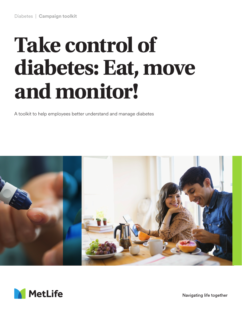# **Take control of diabetes: Eat, move and monitor!**

A toolkit to help employees better understand and manage diabetes





Navigating life together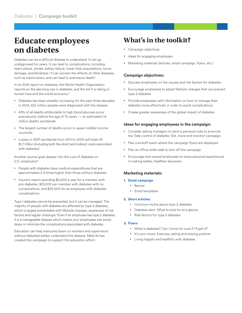## **Educate employees on diabetes**

Diabetes can be a difficult disease to understand. It can go undiagnosed for years. It can lead to complications, including heart attack, stroke, kidney failure, lower limb amputations, nerve damage, and blindness.1 It can worsen the effects of other diseases, such as tuberculosis, and can lead to premature death.<sup>1</sup>

In its 2016 report on diabetes, the World Health Organization reports on the alarming rise in diabetes, and the toll it is taking in human lives and the world economy:<sup>1</sup>

- Diabetes has been steadily increasing for the past three decades; in 2014, 422 million people were diagnosed with the disease
- 43% of all deaths attributable to high blood glucose occur prematurely, before the age of 70 years — an estimated 1.6 million deaths worldwide
- The largest number of deaths occur in upper-middle income countries
- Losses in GDP worldwide from 2011 to 2030 will total US \$1.7 trillion (including both the direct and indirect costs associated with diabetes)

Another source goes deeper into the cost of diabetes on U.S. employers:2

- People with diabetes have medical expenditures that are approximately 2.3 times higher than those without diabetes
- Insurers report spending \$5,000 a year for a member with pre-diabetes, \$10,000 per member with diabetes with no complications, and \$30,000 for an employee with diabetes complications

Type 1 diabetes cannot be prevented, but it can be managed. The majority of people with diabetes are affected by type 2 diabetes, which is largely preventable with lifestyle changes, awareness of risk factors and regular checkups.1 Even if an employee has type 2 diabetes, it is a manageable disease which means your employees can avoid, delay or minimize the complications associated with diabetes.

Education can help everyone (even co-workers and supervisors without diabetes) better understand the disease. MetLife has created this campaign to support this education effort.

### **What's in the toolkit?**

- Campaign objectives
- Ideas for engaging employees
- Marketing materials (articles, email campaign, flyers, etc.)

#### **Campaign objectives:**

- Educate employees on the causes and risk factors for diabetes
- Encourage employees to adopt lifestyle changes that can prevent type 2 diabetes
- Provide employees with information on how to manage their diabetes more effectively in order to avoid complications
- Create greater awareness of the global impact of diabetes

#### **Ideas for engaging employees in the campaign:**

- Consider asking managers to send a personal note to promote the *Take control of diabetes: Eat, move and monitor!* campaign.
- Plan a kickoff event where the campaign flyers are displayed
- Plan an office wide walk to kick off the campaign
- Encourage and reward employees to share personal experiences in making better, healthier decisions

#### **Marketing materials:**

#### **1. Email campaign**

- Banner
- Email templates

#### **2. Short articles:**

- Common myths about type 2 diabetes
- Diabetes alert: What to look for at a glance
- Risk factors for type 2 diabetes

#### **3. Flyers**

- What is diabetes? Can I know for sure if I'll get it?
- It's your move: Exercise, eating and staying positive
- Living happily and healthily with diabetes